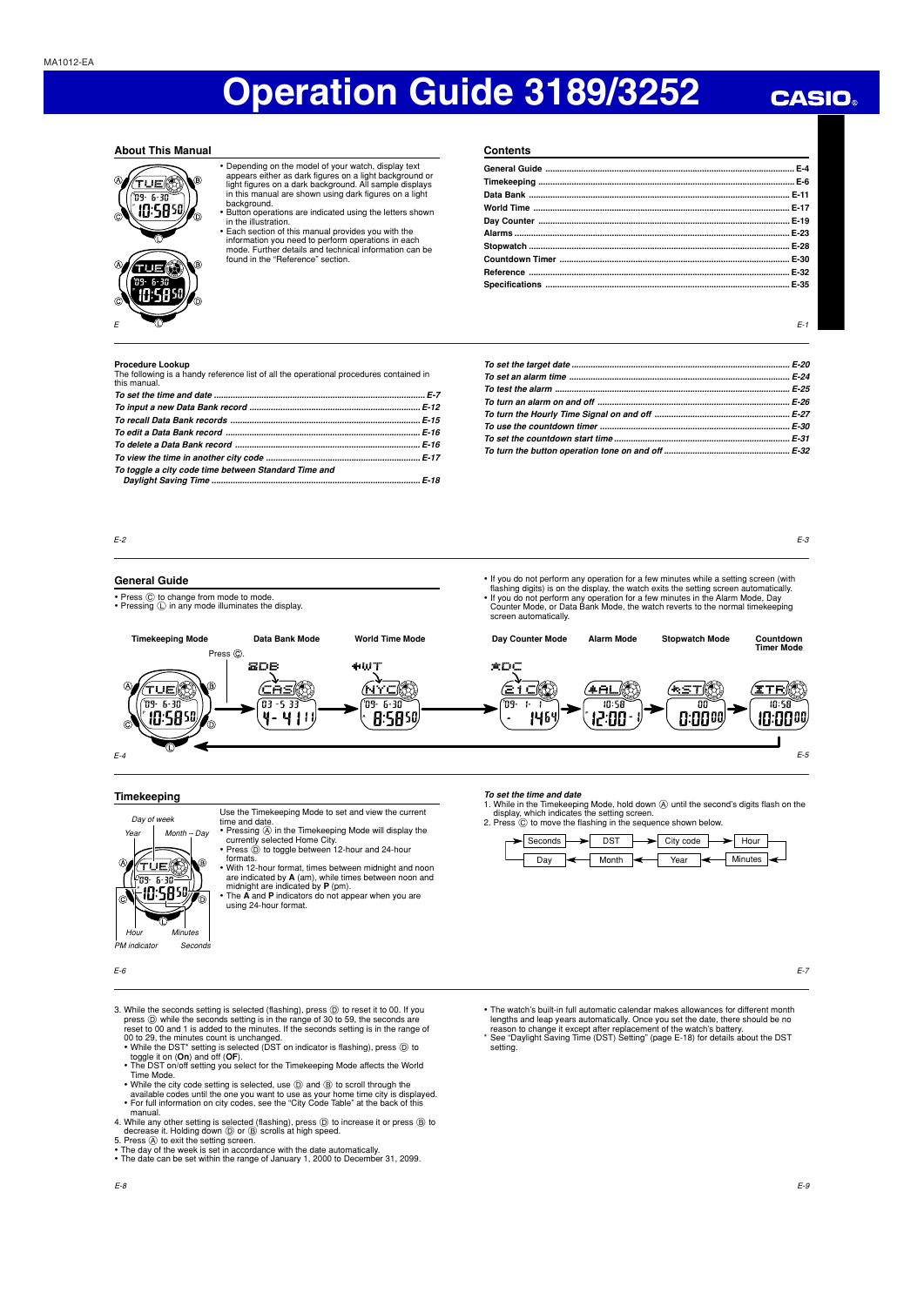## **CASIO**

### **About This Manual**



• Depending on the model of your watch, display text appears either as dark figures on a light background or light figures on a dark background. All sample displays in this manual are shown using dark figures on a light

background.<br>• Button operations are indicated using the letters shown<br>• In the illustration.<br>• Each section of this manual provides you with the

- information you need to perform operations in each mode. Further details and technical information can be found in the "Reference" section.
- **Contents General Guide ......................................................................................................... E-4 Timekeeping ............................................................................................................ E-6 Data Bank .............................................................................................................. E-11 World Time ............................................................................................................ E-17 Day Counter .......................................................................................................... E-19 Alarms .................................................................................................................... E-23 Stopwatch .............................................................................................................. E-28 Countdown Timer ................................................................................................. E-30 Reference .............................................................................................................. E-32 Specifications ....................................................................................................... E-35**

 $F-1$ 

**Procedure Lookup**<br>The following is a handy reference list of all the operational procedures contained in<br>this manual.

| To toggle a city code time between Standard Time and |  |
|------------------------------------------------------|--|

E-3

E-5

E-7

## E-2

### **General Guide**

- Press  $\circled{c}$  to change from mode to mode.<br>• Pressing  $\circled{c}$  in any mode illuminates the display.
- 
- **Timekeeping Mode Data Bank Mode World Time Mode** • If you do not perform any operation for a few minutes while a setting screen (with flashing digits) is on the display, the watch exits the setting screen automatically.<br>• If you do not perform any operation for a few min screen automatically. **Countdown Timer Mode Day Counter Mode Alarm Mode Stopwatch Mode**



**To set the time and date**

 $\overline{\phantom{0}}$  Seconds  $\overline{\phantom{0}}$  DST Day  $\leftarrow$  Month

## **Timekeeping**

(TUE) (© 10:5850

**Voor** Day of week

Hour n<br>M indic

E-4

Use the Timekeeping Mode to set and view the current Month – Day

- time and date.<br>• Pressing ④ in the Timekeeping Mode will display the<br>• Currently selected Home City.<br>• Press ⓪ to toggle between 12-hour and 24-hour
- formats.
- With 12-hour format, times between midnight and noon
- are indicated by **A** (am), while times between noon and midnight are indicated by **P** (pm). The **A** and **P** indicators do not appear when you are using 24-hour format.

E-6

- 3. While the seconds setting is selected (flashing), press ① to reset it to 00. If you<br>press ② while the seconds setting is in the range of 30 to 59, the seconds are<br>reset to 00 and 1 is added to the minutes. If the second
	- 00 to 29, the minutes count is unchanged.<br>• While the DST\* setting is selected (DST on indicator is flashing), press ⓪ to<br>toggle it on (Om) and off (OF).<br>• The DST on/off setting you select for the Timekeeping Mode affect
- 
- Time Mode.<br>• While the city code setting is selected, use  $\textcircled{)}$  and  $\textcircled{)}$  to scroll through the<br>• available codes until the one you want to use as your home time city is displayed.<br>• For full information on city code
- 4. While any other setting is selected (flashing), press ⓒ to increase it or press ⑧ to<br>5. Press ④ to exit the setting screen.<br>5. Press ④ to exit the setting screen.<br>• The day of the week is set in accordance with the date
- 

 $\mathcal{S}_\ell$ 

Minutes

- 
- 
- The watch's built-in full automatic calendar makes allowances for different month<br>lengths and leap years automatically. Once you set the date, there should be no<br>reason to change it except after replacement of the watch'

1. While in the Timekeeping Mode, hold down ④ until the second's digits flash on the<br>display, which indicates the setting screen.<br>2. Press ⓒ to move the flashing in the sequence shown below.

 $\rightarrow$  City code

 $\overline{\phantom{a}}$  Year  $\overline{\phantom{a}}$  Minutes

 $\rightarrow$  Hour

setting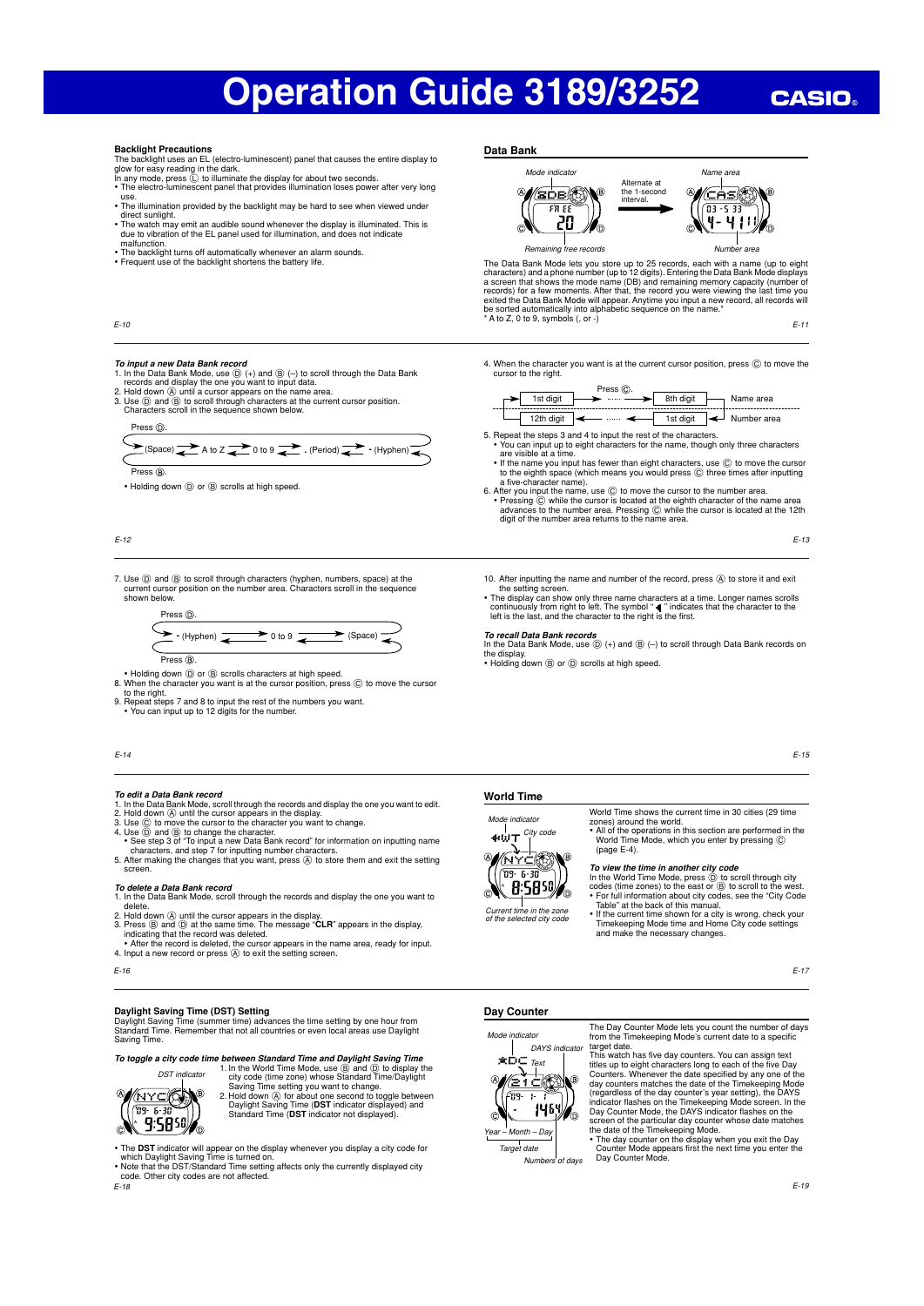# **CASIO**

#### **Backlight Precautions**

The backlight uses an EL (electro-luminescent) panel that causes the entire display to<br>glow for easy reading in the dark.<br>In any mode, press ① to illuminate the display for about two seconds.<br>• The electro-luminescent pane

- use.
- The illumination provided by the backlight may be hard to see when viewed under
- direct sunlight. The watch may emit an audible sound whenever the display is illuminated. This is due to vibration of the EL panel used for illumination, and does not indicate
- malfunction. The backlight turns off automatically whenever an alarm sounds. Frequent use of the backlight shortens the battery life.
- 





The Data Bank Mode lets you store up to 25 records, each with a name (up to teight<br>characters) and a phone number (up to 12 digits). Entering the Data Bank Mode displays<br>a screen that shows the mode name (DB) and remainin

E-11

- To *input a new Data Bank record*<br>1. In the Data Bank Mode, use ⓒ (+) and ⑧ (-) to scroll through the Data Bank<br>1. Indid down ④ until a cursor appears on the name area.<br>2. Hold down ④ until a cursor appears on the name ar
- Characters scroll in the sequence shown below.

Press (D)

| $\cdots$                                                                                               |  |
|--------------------------------------------------------------------------------------------------------|--|
|                                                                                                        |  |
|                                                                                                        |  |
| $\sum$ (Space) $\rightarrow$ A to Z $\rightarrow$ 0 to 9 $\rightarrow$ (Period) $\rightarrow$ (Hyphen) |  |
|                                                                                                        |  |
|                                                                                                        |  |

Press (R)

• Holding down  $\textcircled{D}$  or  $\textcircled{B}$  scrolls at high speed.

E-12

E-10

7. Use  $\circled{D}$  and  $\circled{B}$  to scroll through characters (hyphen, numbers, space) at the current cursor position on the number area. Characters scroll in the sequence shown below.



- 
- Holding down  $\textcircled{\tiny{0}}$  or  $\textcircled{\tiny{8}}$  scrolls characters at high speed.<br>8. When the character you want is at the cursor position, press  $\textcircled{\tiny{0}}$  to move the cursor<br>to the right.
- 
- 9. Repeat steps 7 and 8 to input the rest of the numbers you want. You can input up to 12 digits for the number.
- 

#### E-14

- 
- 
- 
- To edit a Data Bank record<br>
1. In the Data Bank records<br>
2. Hold down  $\circledA$  until the cursor appears in the display.<br>
2. Hold down  $\circledA$  until the cursor appears in the display.<br>
3. Use  $\circledcirc$  to move the cursor to the
- 

- **To delete a Data Bank record** 1. In the Data Bank Mode, scroll through the records and display the one you want to
- delete.<br>
2. Hold down  $\textcircled{a}$  until the cursor appears in the display.<br>
3. Press  $\textcircled{b}$  and  $\textcircled{b}$  at the same time. The message "**CLR**" appears in the display,<br>
indicating that the record was deleted.<br>
 After th
- 
- E-16

## **Daylight Saving Time (DST) Setting**

Daylight Saving Time (summer time) advances the time setting by one hour from Standard Time. Remember that not all countries or even local areas use Daylight Saving Time.

**To toggle a city code time between Standard Time and Daylight Saving Time** 1. In the World Time Mode, use  $\circledcirc$  and  $\circledcirc$  to display the city code (time zone) whose Standard Time/Daylight



- Saving Time setting you want to change.<br>2. Hold down *(*A for about one second to toggle between<br>Daylight Saving Time (**DST** indicator displayed).<br>Standard Time (**DST** indicator not displayed).
- 

E-18 • The DST indicator will appear on the display whenever you display a city code for<br>which Daylight Saving Time is turned on.<br>• Note that the DST/Standard Time setting affects only the currently displayed city<br>• code. Other 4. When the character you want is at the current cursor position, press  $\copyright$  to move the cursor to the right.

|            | Press (C). |           |             |
|------------|------------|-----------|-------------|
| 1st diait  |            | 8th diait | Name area   |
| 12th diait |            | 1st digit | Number area |

- 5. Repeat the steps 3 and 4 to input the rest of the characters. • You can input up to eight characters for the name, though only three characters
- 
- are visible at a time.<br>
If the name you input has fewer than eight characters, use  $\odot$  to move the curso<br>
to the eighth space (which means you would press  $\odot$  three times after inputting<br>
a five-character name).<br>
6. A

E-13

- 10. After inputting the name and number of the record, press @ to store it and exit the setting screen.
- The display can show only three name characters at a time. Longer names scrolls<br>continuously from right to left. The symbol "  $\Psi$  " indicates that the character to the<br>left is the last, and the character to the right is

- To recall Data Bank records<br>In the Data Bank Mode, use **(D)** (+) and (B) (-) to scroll through Data Bank records on the display. • Holding down B or D scrolls at high speed.
- 



## **World Time**

 $\frac{1}{\text{div}\mathbf{U}}$  City code Mode indicator



World Time shows the current time in 30 cities (29 time zones) around the world.<br>• All of the operations in this section are performed in the<br>World Time Mode, which you enter by pressing ©<br>(page E-4).

- To view the time in another city code<br>In the World Time Mode, press (b) to scroll through city<br>codes (time zones) to the east or (b) to scroll to the west.<br>For full information about city codes, see the "City Code<br>Table"
- and make the necessary changes.

E-17

### **Day Counter**



Numbers of days

The Day Counter Mode lets you count the number of days from the Timekeeping Mode's current date to a specific

target date.<br>This watch has five day counters. You can assign text<br>This watch has five day counters. Wherever the date specified by any one of the<br>day counters. Whenever the date specified by any one of the<br>day counters ma

screen of the particular day counter whose date matches<br>the date of the Timekeeping Mode.<br>• The day counter on the display when you exit the Day<br>Counter Mode appears first the next time you enter the<br>Day Counter Mode.

וד Current time in the zone

of the selected city code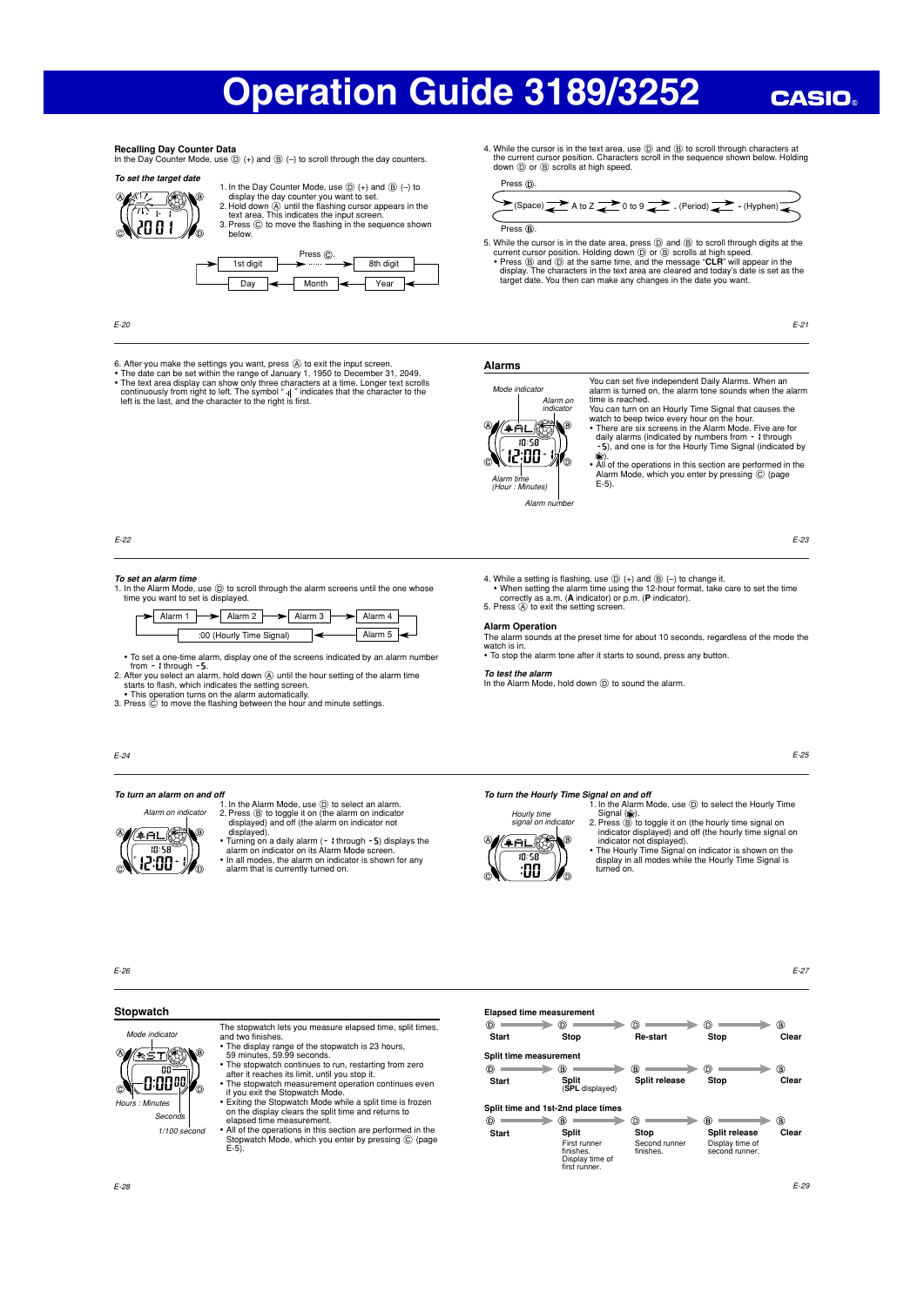# **CASIO**

## **Recalling Day Counter Data**

In the Day Counter Mode, use  $(\mathbb{D})$  (+) and  $(\mathbb{B})$  (-) to scroll through the day counters. **To set the target date** 



1. In the Day Counter Mode, use  $(D +$ ) and  $(B)$   $(-)$  to display the day counter you want to set. 2. Hold down A until the flashing cursor appears in the text area. This indicates the input screen. 3. Press C to move the flashing in the sequence shown below.



E-20

- 
- 6. After you make the settings you want, press  $\hat{\omega}$  to exit the input screen.<br>• The date can be set within the range of January 1, 1950 to December 31, 2049.<br>• The text area display can show only three characters at a t



**Alarms**

Press  $\circledR$ 

 $Press (R)$ 

You can set five independent Daily Alarms. When an alarm is turned on, the alarm tone sounds when the alarm time is reached. You can turn on an Hourly Time Signal that causes the

4. While the cursor is in the text area, use  $\textcircled{1}$  and  $\textcircled{B}$  to scroll through characters the current cursor position. Characters scroll in the sequence shown below. Holding<br>down  $(\widehat{D})$  or  $(\widehat{B})$  scrolls at high speed.

**E** (Space) **A** to Z **a** 0 to 9

5. While the cursor is in the date area, press  $\circledcirc$  and  $\circledcirc$  to scroll through digits at the current cursor position. Holding down  $\circledcirc$  or  $\circledcirc$  scrolls at high speed.<br>• Press  $\circledcirc$  and  $\circledcirc$  at the same time, an target date. You then can make any changes in the date you want.

> watch to beep twice every hour on the hour. • There are six screens in the Alarm Mode. Five are for daily alarms (indicated by numbers from  $\text{-}$  through  $\text{-}$   $\text{5}$ ), and one is for the Hourly Time Signal (indicated by

ALC: UU M C All of the operations in this section are performed in the<br>Alarm Mode, which you enter by pressing © (page<br>Hour: Minutes)<br>Alarm Mode, which you enter by pressing © (page

E-23

E-25

E-27

 $\circledR$ 

E-21

E-22

**To set an alarm time** 1. In the Alarm Mode, use D to scroll through the alarm screens until the one whose time you want to set is displayed.

| $\rightarrow$ Alarm 1 | $\blacktriangleright$ Alarm 2 $\blacktriangleright$ Alarm 3 |  | Alarm 4 |  |
|-----------------------|-------------------------------------------------------------|--|---------|--|
|                       | :00 (Hourly Time Signal)                                    |  | Alarm 5 |  |

• To set a one-time alarm, display one of the screens indicated by an alarm number<br>from - t through - <u>5</u>.<br>2. After you select an alarm, hold down ④ until the hour setting of the alarm time

starts to flash, which indicates the setting screen. • This operation turns on the alarm automatically. 3. Press C to move the flashing between the hour and minute settings.

### E-24

### **To turn an alarm on and off** Alarm on indicator

- 1. In the Alarm Mode, use  $\circledcirc$  to select an alarm.<br>2. Press  $\circledcirc$  to toggle it on (the alarm on indicator not<br>displayed) and off (the alarm on indicator not
- ட்சபட்  $10^{\circ}$ 12:00
- displayed). • Turning on a daily alarm (- 1 through - 5) displays the alarm on indicator on its Alarm Mode screen. • In all modes, the alarm on indicator is shown for any
- alarm that is currently turned on.



To turn the Hourly Time Signal on and off<br>  $\frac{1}{2}$  In the Alarm Mode, use  $\overline{\mathbb{Q}}$  to select the Hourly time<br>  $\frac{1}{2}$  Signal ( $\overline{\mathbb{Q}}$ ).<br>
Signal ( $\overline{\mathbb{Q}}$ ) to toggle it on (the hourly time signal on<br>
indicato

• The Hourly Time Signal on indicator is shown on the display in all modes while the Hourly Time Signal is

turned on.

**Stop Re-start** Stop Clea

 $(D)$ 

E-26

E-28

## **Stopwatch**

 Mode indicator  $T$ (S 0.0000 Hours : Minutes  $S$  $1/100c$ 

The stopwatch lets you measure elapsed time, split times, and two finishes. • The display range of the stopwatch is 23 hours, 59 minutes, 59.99 seconds.

- 
- The stopwatch continues to run, restarting from zero
- 

after it reaches its limit, until you stop it.<br>• The stopwatch measurement operation continues even<br>• If you exit the Stopwatch Mode.<br>• Exting the Stopwatch Mode while a split time is frozen<br>• on the display clears the spl elapsed time measurement.

• All of the operations in this section are performed in the Stopwatch Mode which you enter by pressing  $\bigcirc$  (page atch Mode, which you enter by pressing C (page  $E-5$ 

 $\circ$  $\rightarrow$   $\circ$  $(R)$  $\circ$  $\mathbb{R}$ **Split release** Stop Clear **Start Split** (**SPL** displayed) **Split time and 1st-2nd place times**  $\circ$  =  $(B)$  $\odot$  =  $(B) =$  $(B)$ **Start** Split Stop Split release Clear Second runner First runner finishes. Display time of first runner. Display time of second runner.finishes.

 $(D)$ 

**Alarm Operation** The alarm sounds at the preset time for about 10 seconds, regardless of the mode the watch is in. • To stop the alarm tone after it starts to sound, press any button.

4. While a setting is flashing, use  $\textcircled{D}$  (+) and  $\textcircled{B}$  (-) to change it.<br>
• When setting the alarm time using the 12-hour format, take care to set the time<br>
correctly as a.m. (**A** indicator) or p.m. (**P** indicator

5. Press (A) to exit the setting screen.

**To test the alarm** In the Alarm Mode, hold down  $\textcircled{D}$  to sound the alarm.

**Elapsed time measurement** 

 $\Rightarrow$   $\circ$ 

**Split time measurement** 

**Start**

 $\circled{D}$